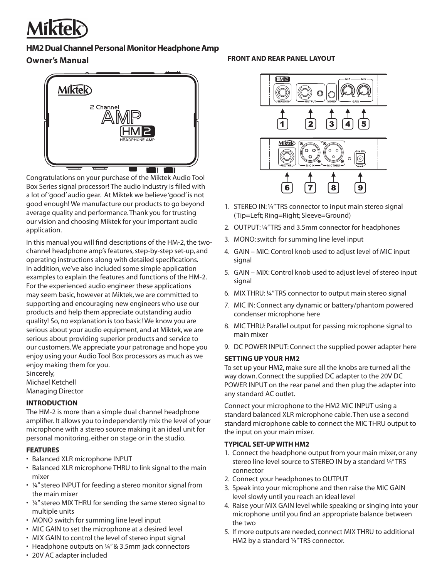

## **HM2 Dual Channel Personal Monitor Headphone Amp**

# **Owner's Manual**



Congratulations on your purchase of the Miktek Audio Tool Box Series signal processor! The audio industry is filled with a lot of 'good' audio gear. At Miktek we believe 'good' is not good enough! We manufacture our products to go beyond average quality and performance. Thank you for trusting our vision and choosing Miktek for your important audio application.

In this manual you will find descriptions of the HM-2, the twochannel headphone amp's features, step-by-step set-up, and operating instructions along with detailed specifications. In addition, we've also included some simple application examples to explain the features and functions of the HM-2. For the experienced audio engineer these applications may seem basic, however at Miktek, we are committed to supporting and encouraging new engineers who use our products and help them appreciate outstanding audio quality! So, no explanation is too basic! We know you are serious about your audio equipment, and at Miktek, we are serious about providing superior products and service to our customers. We appreciate your patronage and hope you enjoy using your Audio Tool Box processors as much as we enjoy making them for you.

Sincerely, Michael Ketchell Managing Director

## **INTRODUCTION**

The HM-2 is more than a simple dual channel headphone amplifier. It allows you to independently mix the level of your microphone with a stereo source making it an ideal unit for personal monitoring, either on stage or in the studio.

## **FEATURES**

- Balanced XLR microphone INPUT
- Balanced XLR microphone THRU to link signal to the main mixer
- ¼" stereo INPUT for feeding a stereo monitor signal from the main mixer
- ¼" stereo MIX THRU for sending the same stereo signal to multiple units
- MONO switch for summing line level input
- MIC GAIN to set the microphone at a desired level
- MIX GAIN to control the level of stereo input signal
- Headphone outputs on 1/4" & 3.5mm jack connectors

## **FRONT AND REAR PANEL LAYOUT**



- 1. STEREO IN: ¼" TRS connector to input main stereo signal (Tip=Left; Ring=Right; Sleeve=Ground)
- 2. OUTPUT: ¼" TRS and 3.5mm connector for headphones
- 3. MONO: switch for summing line level input
- 4. GAIN MIC: Control knob used to adjust level of MIC input signal
- 5. GAIN MIX: Control knob used to adjust level of stereo input signal
- 6. MIX THRU: ¼" TRS connector to output main stereo signal
- 7. MIC IN: Connect any dynamic or battery/phantom powered condenser microphone here
- 8. MIC THRU: Parallel output for passing microphone signal to main mixer
- 9. DC POWER INPUT: Connect the supplied power adapter here

#### **SETTING UP YOUR HM2**

To set up your HM2, make sure all the knobs are turned all the way down. Connect the supplied DC adapter to the 20V DC POWER INPUT on the rear panel and then plug the adapter into any standard AC outlet.

Connect your microphone to the HM2 MIC INPUT using a standard balanced XLR microphone cable. Then use a second standard microphone cable to connect the MIC THRU output to the input on your main mixer.

#### **TYPICAL SET-UP WITH HM2**

- 1. Connect the headphone output from your main mixer, or any stereo line level source to STEREO IN by a standard 1/4"TRS connector
- 2. Connect your headphones to OUTPUT
- 3. Speak into your microphone and then raise the MIC GAIN level slowly until you reach an ideal level
- 4. Raise your MIX GAIN level while speaking or singing into your microphone until you find an appropriate balance between the two
- 5. If more outputs are needed, connect MIX THRU to additional HM2 by a standard 1/4"TRS connector.

• 20V AC adapter included